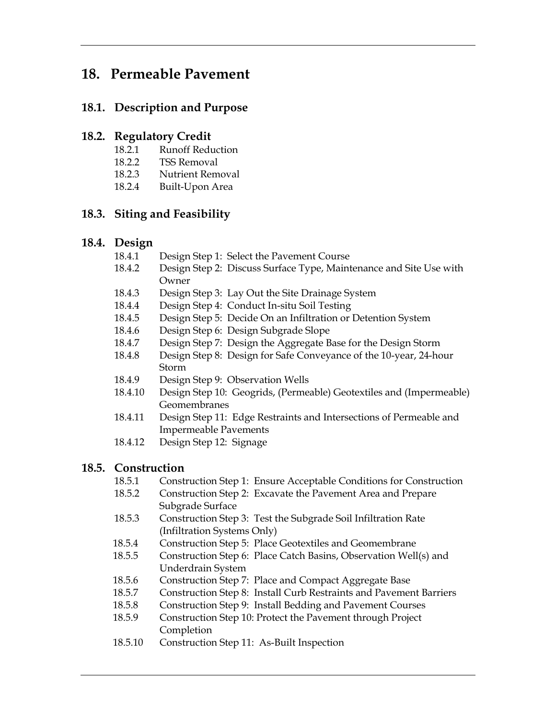# **18. Permeable Pavement**

## **18.1. Description and Purpose**

#### **18.2. Regulatory Credit**

- 18.2.1 Runoff Reduction
- 18.2.2 TSS Removal
- 18.2.3 Nutrient Removal
- 18.2.4 Built-Upon Area

## **18.3. Siting and Feasibility**

#### **18.4. Design**

- 18.4.1 Design Step 1: Select the Pavement Course
- 18.4.2 Design Step 2: Discuss Surface Type, Maintenance and Site Use with Owner
- 18.4.3 Design Step 3: Lay Out the Site Drainage System
- 18.4.4 Design Step 4: Conduct In-situ Soil Testing
- 18.4.5 Design Step 5: Decide On an Infiltration or Detention System
- 18.4.6 Design Step 6: Design Subgrade Slope
- 18.4.7 Design Step 7: Design the Aggregate Base for the Design Storm
- 18.4.8 Design Step 8: Design for Safe Conveyance of the 10-year, 24-hour Storm
- 18.4.9 Design Step 9: Observation Wells
- 18.4.10 Design Step 10: Geogrids, (Permeable) Geotextiles and (Impermeable) Geomembranes
- 18.4.11 Design Step 11: Edge Restraints and Intersections of Permeable and Impermeable Pavements
- 18.4.12 Design Step 12: Signage

## **18.5. Construction**

- 18.5.1 Construction Step 1: Ensure Acceptable Conditions for Construction
- 18.5.2 Construction Step 2: Excavate the Pavement Area and Prepare Subgrade Surface
- 18.5.3 Construction Step 3: Test the Subgrade Soil Infiltration Rate (Infiltration Systems Only)
- 18.5.4 Construction Step 5: Place Geotextiles and Geomembrane
- 18.5.5 Construction Step 6: Place Catch Basins, Observation Well(s) and Underdrain System
- 18.5.6 Construction Step 7: Place and Compact Aggregate Base
- 18.5.7 Construction Step 8: Install Curb Restraints and Pavement Barriers
- 18.5.8 Construction Step 9: Install Bedding and Pavement Courses
- 18.5.9 Construction Step 10: Protect the Pavement through Project Completion
- 18.5.10 Construction Step 11: As-Built Inspection